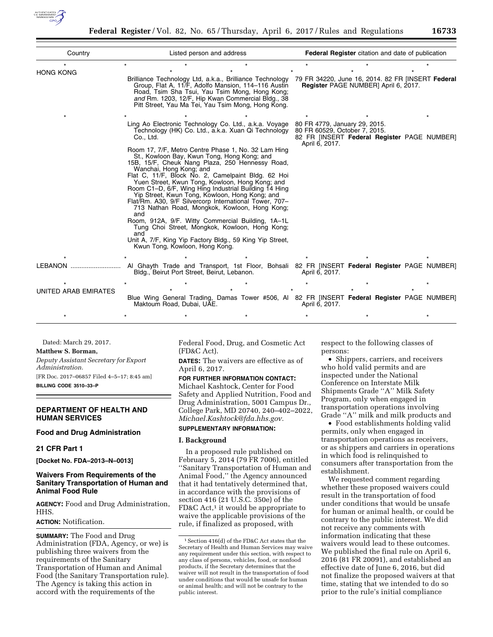

| Country                     | Listed person and address                                                                                                                                                                                                                                                                                                          | <b>Federal Register</b> citation and date of publication                                                                        |
|-----------------------------|------------------------------------------------------------------------------------------------------------------------------------------------------------------------------------------------------------------------------------------------------------------------------------------------------------------------------------|---------------------------------------------------------------------------------------------------------------------------------|
|                             |                                                                                                                                                                                                                                                                                                                                    |                                                                                                                                 |
| <b>HONG KONG</b>            | Brilliance Technology Ltd, a.k.a., Brilliance Technology<br>Group, Flat A, 11/F, Adolfo Mansion, 114-116 Austin<br>Road, Tsim Sha Tsui, Yau Tsim Mong, Hong Kong;<br>and Rm. 1203, 12/F, Hip Kwan Commercial Bldg., 38<br>Pitt Street, Yau Ma Tei, Yau Tsim Mong, Hong Kong.                                                       | 79 FR 34220, June 16, 2014. 82 FR [INSERT Federal<br>Register PAGE NUMBER] April 6, 2017.                                       |
|                             |                                                                                                                                                                                                                                                                                                                                    |                                                                                                                                 |
|                             | Ling Ao Electronic Technology Co. Ltd., a.k.a. Voyage<br>Technology (HK) Co. Ltd., a.k.a. Xuan Qi Technology<br>Co., Ltd.                                                                                                                                                                                                          | 80 FR 4779, January 29, 2015.<br>80 FR 60529, October 7, 2015.<br>82 FR [INSERT Federal Register PAGE NUMBER]<br>April 6, 2017. |
|                             | Room 17, 7/F, Metro Centre Phase 1, No. 32 Lam Hing<br>St., Kowloon Bay, Kwun Tong, Hong Kong; and<br>15B, 15/F, Cheuk Nang Plaza, 250 Hennessy Road,<br>Wanchai, Hong Kong; and                                                                                                                                                   |                                                                                                                                 |
|                             | Flat C, 11/F, Block No. 2, Camelpaint Bldg. 62 Hoi<br>Yuen Street, Kwun Tong, Kowloon, Hong Kong; and<br>Room C1–D, 6/F, Wing Hing Industrial Building 14 Hing<br>Yip Street, Kwun Tong, Kowloon, Hong Kong; and<br>Flat/Rm. A30, 9/F Silvercorp International Tower, 707-<br>713 Nathan Road, Mongkok, Kowloon, Hong Kong;<br>and |                                                                                                                                 |
|                             | Room, 912A, 9/F. Witty Commercial Building, 1A-1L<br>Tung Choi Street, Mongkok, Kowloon, Hong Kong;<br>and                                                                                                                                                                                                                         |                                                                                                                                 |
|                             | Unit A, 7/F, King Yip Factory Bldg., 59 King Yip Street,<br>Kwun Tong, Kowloon, Hong Kong.                                                                                                                                                                                                                                         |                                                                                                                                 |
|                             |                                                                                                                                                                                                                                                                                                                                    |                                                                                                                                 |
| LEBANON                     | Bldg., Beirut Port Street, Beirut, Lebanon.                                                                                                                                                                                                                                                                                        | AI Ghayth Trade and Transport, 1st Floor, Bohsali 82 FR [INSERT <b>Federal Register</b> PAGE NUMBER]<br>April 6, 2017.          |
|                             |                                                                                                                                                                                                                                                                                                                                    |                                                                                                                                 |
| <b>UNITED ARAB EMIRATES</b> | Maktoum Road, Dubai, UAE.                                                                                                                                                                                                                                                                                                          | Blue Wing General Trading, Damas Tower #506, AI 82 FR [INSERT Federal Register PAGE NUMBER]<br>April 6, 2017.                   |
|                             |                                                                                                                                                                                                                                                                                                                                    |                                                                                                                                 |

Dated: March 29, 2017.

#### **Matthew S. Borman,**

*Deputy Assistant Secretary for Export Administration.*  [FR Doc. 2017–06857 Filed 4–5–17; 8:45 am] **BILLING CODE 3510–33–P** 

## **DEPARTMENT OF HEALTH AND HUMAN SERVICES**

#### **Food and Drug Administration**

### **21 CFR Part 1**

**[Docket No. FDA–2013–N–0013]** 

## **Waivers From Requirements of the Sanitary Transportation of Human and Animal Food Rule**

**AGENCY:** Food and Drug Administration, HHS.

### **ACTION:** Notification.

**SUMMARY:** The Food and Drug Administration (FDA, Agency, or we) is publishing three waivers from the requirements of the Sanitary Transportation of Human and Animal Food (the Sanitary Transportation rule). The Agency is taking this action in accord with the requirements of the

Federal Food, Drug, and Cosmetic Act (FD&C Act).

**DATES:** The waivers are effective as of April 6, 2017.

# **FOR FURTHER INFORMATION CONTACT:**  Michael Kashtock, Center for Food Safety and Applied Nutrition, Food and Drug Administration, 5001 Campus Dr., College Park, MD 20740, 240–402–2022, *[Michael.Kashtock@fda.hhs.gov.](mailto:Michael.Kashtock@fda.hhs.gov)*

# **SUPPLEMENTARY INFORMATION:**

### **I. Background**

In a proposed rule published on February 5, 2014 (79 FR 7006), entitled ''Sanitary Transportation of Human and Animal Food,'' the Agency announced that it had tentatively determined that, in accordance with the provisions of section 416 (21 U.S.C. 350e) of the FD&C Act,<sup>1</sup> it would be appropriate to waive the applicable provisions of the rule, if finalized as proposed, with

respect to the following classes of persons:

• Shippers, carriers, and receivers who hold valid permits and are inspected under the National Conference on Interstate Milk Shipments Grade ''A'' Milk Safety Program, only when engaged in transportation operations involving Grade ''A'' milk and milk products and

• Food establishments holding valid permits, only when engaged in transportation operations as receivers, or as shippers and carriers in operations in which food is relinquished to consumers after transportation from the establishment.

We requested comment regarding whether these proposed waivers could result in the transportation of food under conditions that would be unsafe for human or animal health, or could be contrary to the public interest. We did not receive any comments with information indicating that these waivers would lead to these outcomes. We published the final rule on April 6, 2016 (81 FR 20091), and established an effective date of June 6, 2016, but did not finalize the proposed waivers at that time, stating that we intended to do so prior to the rule's initial compliance

<sup>1</sup>Section 416(d) of the FD&C Act states that the Secretary of Health and Human Services may waive any requirement under this section, with respect to any class of persons, vehicles, food, or nonfood products, if the Secretary determines that the waiver will not result in the transportation of food under conditions that would be unsafe for human or animal health; and will not be contrary to the public interest.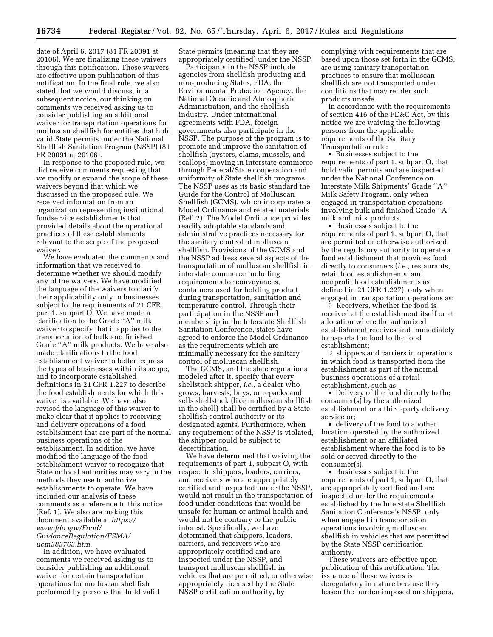date of April 6, 2017 (81 FR 20091 at 20106). We are finalizing these waivers through this notification. These waivers are effective upon publication of this notification. In the final rule, we also stated that we would discuss, in a subsequent notice, our thinking on comments we received asking us to consider publishing an additional waiver for transportation operations for molluscan shellfish for entities that hold valid State permits under the National Shellfish Sanitation Program (NSSP) (81 FR 20091 at 20106).

In response to the proposed rule, we did receive comments requesting that we modify or expand the scope of these waivers beyond that which we discussed in the proposed rule. We received information from an organization representing institutional foodservice establishments that provided details about the operational practices of these establishments relevant to the scope of the proposed waiver.

We have evaluated the comments and information that we received to determine whether we should modify any of the waivers. We have modified the language of the waivers to clarify their applicability only to businesses subject to the requirements of 21 CFR part 1, subpart O. We have made a clarification to the Grade ''A'' milk waiver to specify that it applies to the transportation of bulk and finished Grade ''A'' milk products. We have also made clarifications to the food establishment waiver to better express the types of businesses within its scope, and to incorporate established definitions in 21 CFR 1.227 to describe the food establishments for which this waiver is available. We have also revised the language of this waiver to make clear that it applies to receiving and delivery operations of a food establishment that are part of the normal business operations of the establishment. In addition, we have modified the language of the food establishment waiver to recognize that State or local authorities may vary in the methods they use to authorize establishments to operate. We have included our analysis of these comments as a reference to this notice (Ref. 1). We also are making this document available at *[https://](https://www.fda.gov/Food/GuidanceRegulation/FSMA/ucm383763.htm) [www.fda.gov/Food/](https://www.fda.gov/Food/GuidanceRegulation/FSMA/ucm383763.htm) [GuidanceRegulation/FSMA/](https://www.fda.gov/Food/GuidanceRegulation/FSMA/ucm383763.htm) [ucm383763.htm.](https://www.fda.gov/Food/GuidanceRegulation/FSMA/ucm383763.htm)* 

In addition, we have evaluated comments we received asking us to consider publishing an additional waiver for certain transportation operations for molluscan shellfish performed by persons that hold valid State permits (meaning that they are appropriately certified) under the NSSP.

Participants in the NSSP include agencies from shellfish producing and non-producing States, FDA, the Environmental Protection Agency, the National Oceanic and Atmospheric Administration, and the shellfish industry. Under international agreements with FDA, foreign governments also participate in the NSSP. The purpose of the program is to promote and improve the sanitation of shellfish (oysters, clams, mussels, and scallops) moving in interstate commerce through Federal/State cooperation and uniformity of State shellfish programs. The NSSP uses as its basic standard the Guide for the Control of Molluscan Shellfish (GCMS), which incorporates a Model Ordinance and related materials (Ref. 2). The Model Ordinance provides readily adoptable standards and administrative practices necessary for the sanitary control of molluscan shellfish. Provisions of the GCMS and the NSSP address several aspects of the transportation of molluscan shellfish in interstate commerce including requirements for conveyances, containers used for holding product during transportation, sanitation and temperature control. Through their participation in the NSSP and membership in the Interstate Shellfish Sanitation Conference, states have agreed to enforce the Model Ordinance as the requirements which are minimally necessary for the sanitary control of molluscan shellfish.

The GCMS, and the state regulations modeled after it, specify that every shellstock shipper, *i.e.,* a dealer who grows, harvests, buys, or repacks and sells shellstock (live molluscan shellfish in the shell) shall be certified by a State shellfish control authority or its designated agents. Furthermore, when any requirement of the NSSP is violated, the shipper could be subject to decertification.

We have determined that waiving the requirements of part 1, subpart O, with respect to shippers, loaders, carriers, and receivers who are appropriately certified and inspected under the NSSP, would not result in the transportation of food under conditions that would be unsafe for human or animal health and would not be contrary to the public interest. Specifically, we have determined that shippers, loaders, carriers, and receivers who are appropriately certified and are inspected under the NSSP, and transport molluscan shellfish in vehicles that are permitted, or otherwise appropriately licensed by the State NSSP certification authority, by

complying with requirements that are based upon those set forth in the GCMS, are using sanitary transportation practices to ensure that molluscan shellfish are not transported under conditions that may render such products unsafe.

In accordance with the requirements of section 416 of the FD&C Act, by this notice we are waiving the following persons from the applicable requirements of the Sanitary Transportation rule:

• Businesses subject to the requirements of part 1, subpart O, that hold valid permits and are inspected under the National Conference on Interstate Milk Shipments' Grade ''A'' Milk Safety Program, only when engaged in transportation operations involving bulk and finished Grade ''A'' milk and milk products.

• Businesses subject to the requirements of part 1, subpart O, that are permitted or otherwise authorized by the regulatory authority to operate a food establishment that provides food directly to consumers (*i.e.,* restaurants, retail food establishments, and nonprofit food establishments as defined in 21 CFR 1.227), only when engaged in transportation operations as: Æ

 Receivers, whether the food is received at the establishment itself or at a location where the authorized establishment receives and immediately transports the food to the food establishment;

 $\circ$  shippers and carriers in operations in which food is transported from the establishment as part of the normal business operations of a retail establishment, such as:

• Delivery of the food directly to the consumer(s) by the authorized establishment or a third-party delivery service or;

• delivery of the food to another location operated by the authorized establishment or an affiliated establishment where the food is to be sold or served directly to the consumer(s).

• Businesses subject to the requirements of part 1, subpart O, that are appropriately certified and are inspected under the requirements established by the Interstate Shellfish Sanitation Conference's NSSP, only when engaged in transportation operations involving molluscan shellfish in vehicles that are permitted by the State NSSP certification authority.

These waivers are effective upon publication of this notification. The issuance of these waivers is deregulatory in nature because they lessen the burden imposed on shippers,